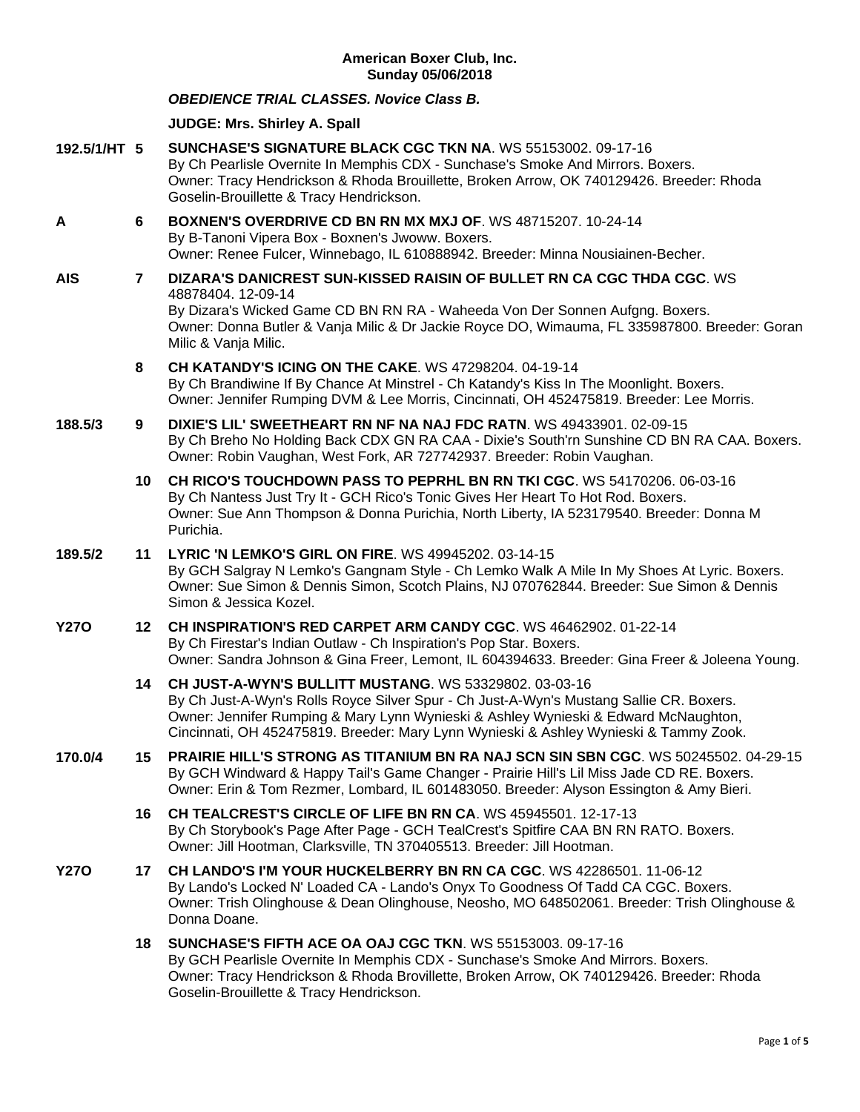# *OBEDIENCE TRIAL CLASSES. Novice Class B.*

# **JUDGE: [Mrs. Shirley A. Spall](http://www.infodog.com/show/judge/jdgprofile.htm?jn=39543)**

- **192.5/1/HT 5 [SUNCHASE'S SIGNATURE BLACK CGC TKN NA](http://www.infodog.com/my/drlookup2.htm?makc=WS%2055153002&mdog=Sunchase%27s+Signature+Black+CGC+TKN+NA&wins=all)**. WS 55153002. 09-17-16 By Ch Pearlisle Overnite In Memphis CDX - Sunchase's Smoke And Mirrors. Boxers. Owner: Tracy Hendrickson & Rhoda Brouillette, Broken Arrow, OK 740129426. Breeder: Rhoda Goselin-Brouillette & Tracy Hendrickson.
- **A 6 [BOXNEN'S OVERDRIVE CD BN RN MX MXJ OF](http://www.infodog.com/my/drlookup2.htm?makc=WS%2048715207&mdog=Boxnen%27s+Overdrive+CD+BN+RN+MX+MXJ+OF&wins=all)**. WS 48715207. 10-24-14 By B-Tanoni Vipera Box - Boxnen's Jwoww. Boxers. Owner: Renee Fulcer, Winnebago, IL 610888942. Breeder: Minna Nousiainen-Becher.
- **AIS 7 [DIZARA'S DANICREST SUN-KISSED RAISIN OF BULLET RN CA CGC THDA CGC](http://www.infodog.com/my/drlookup2.htm?makc=WS%2048878404&mdog=Dizara%27s+Danicrest+Sun-Kissed+Raisin+Of+Bullet+RN+CA+CGC+THDA+CGC&wins=all)**. WS 48878404. 12-09-14 By Dizara's Wicked Game CD BN RN RA - Waheeda Von Der Sonnen Aufgng. Boxers. Owner: Donna Butler & Vanja Milic & Dr Jackie Royce DO, Wimauma, FL 335987800. Breeder: Goran Milic & Vanja Milic.
	- **8 [CH KATANDY'S ICING ON THE CAKE](http://www.infodog.com/my/drlookup2.htm?makc=WS%2047298204&mdog=Ch+Katandy%27s+Icing+On+The+Cake&wins=all)**. WS 47298204. 04-19-14 By Ch Brandiwine If By Chance At Minstrel - Ch Katandy's Kiss In The Moonlight. Boxers. Owner: Jennifer Rumping DVM & Lee Morris, Cincinnati, OH 452475819. Breeder: Lee Morris.
- **188.5/3 9 [DIXIE'S LIL' SWEETHEART RN NF NA NAJ FDC RATN](http://www.infodog.com/my/drlookup2.htm?makc=WS%2049433901&mdog=Dixie%27s+Lil%27+Sweetheart+RN+NF+NA+NAJ+FDC+RATN&wins=all)**. WS 49433901. 02-09-15 By Ch Breho No Holding Back CDX GN RA CAA - Dixie's South'rn Sunshine CD BN RA CAA. Boxers. Owner: Robin Vaughan, West Fork, AR 727742937. Breeder: Robin Vaughan.
	- **10 [CH RICO'S TOUCHDOWN PASS TO PEPRHL BN RN TKI CGC](http://www.infodog.com/my/drlookup2.htm?makc=WS%2054170206&mdog=Ch+Rico%27s+Touchdown+Pass+To+Peprhl+BN+RN+TKI+CGC&wins=all)**. WS 54170206. 06-03-16 By Ch Nantess Just Try It - GCH Rico's Tonic Gives Her Heart To Hot Rod. Boxers. Owner: Sue Ann Thompson & Donna Purichia, North Liberty, IA 523179540. Breeder: Donna M Purichia.

# **189.5/2 11 [LYRIC 'N LEMKO'S GIRL ON FIRE](http://www.infodog.com/my/drlookup2.htm?makc=WS%2049945202&mdog=Lyric+%27N+Lemko%27s+Girl+On+Fire&wins=all)**. WS 49945202. 03-14-15

By GCH Salgray N Lemko's Gangnam Style - Ch Lemko Walk A Mile In My Shoes At Lyric. Boxers. Owner: Sue Simon & Dennis Simon, Scotch Plains, NJ 070762844. Breeder: Sue Simon & Dennis Simon & Jessica Kozel.

# **Y27O 12 [CH INSPIRATION'S RED CARPET ARM CANDY CGC](http://www.infodog.com/my/drlookup2.htm?makc=WS%2046462902&mdog=Ch+Inspiration%27s+Red+Carpet+Arm+Candy+CGC&wins=all)**. WS 46462902. 01-22-14 By Ch Firestar's Indian Outlaw - Ch Inspiration's Pop Star. Boxers. Owner: Sandra Johnson & Gina Freer, Lemont, IL 604394633. Breeder: Gina Freer & Joleena Young.

- **14 [CH JUST-A-WYN'S BULLITT MUSTANG](http://www.infodog.com/my/drlookup2.htm?makc=WS%2053329802&mdog=Ch+Just-A-Wyn%27s+Bullitt+Mustang&wins=all)**. WS 53329802. 03-03-16 By Ch Just-A-Wyn's Rolls Royce Silver Spur - Ch Just-A-Wyn's Mustang Sallie CR. Boxers. Owner: Jennifer Rumping & Mary Lynn Wynieski & Ashley Wynieski & Edward McNaughton, Cincinnati, OH 452475819. Breeder: Mary Lynn Wynieski & Ashley Wynieski & Tammy Zook.
- **170.0/4 15 [PRAIRIE HILL'S STRONG AS TITANIUM BN](http://www.infodog.com/my/drlookup2.htm?makc=WS%2050245502&mdog=Prairie+Hill%27s+Strong+As+Titanium+BN+RA+NAJ+SCN+SIN+SBN+CGC&wins=all) RA NAJ SCN SIN SBN CGC**. WS 50245502. 04-29-15 By GCH Windward & Happy Tail's Game Changer - Prairie Hill's Lil Miss Jade CD RE. Boxers. Owner: Erin & Tom Rezmer, Lombard, IL 601483050. Breeder: Alyson Essington & Amy Bieri.
	- **16 [CH TEALCREST'S CIRCLE OF LIFE BN RN CA](http://www.infodog.com/my/drlookup2.htm?makc=WS%2045945501&mdog=Ch+TealCrest%27s+Circle+Of+Life+BN+RN+CA&wins=all)**. WS 45945501. 12-17-13 By Ch Storybook's Page After Page - GCH TealCrest's Spitfire CAA BN RN RATO. Boxers. Owner: Jill Hootman, Clarksville, TN 370405513. Breeder: Jill Hootman.
- **Y27O 17 [CH LANDO'S I'M YOUR HUCKELBERRY BN RN CA CGC](http://www.infodog.com/my/drlookup2.htm?makc=WS%2042286501&mdog=Ch+Lando%27s+I%27m+Your+Huckelberry+BN+RN+CA+CGC&wins=all)**. WS 42286501. 11-06-12 By Lando's Locked N' Loaded CA - Lando's Onyx To Goodness Of Tadd CA CGC. Boxers. Owner: Trish Olinghouse & Dean Olinghouse, Neosho, MO 648502061. Breeder: Trish Olinghouse & Donna Doane.
	- **18 [SUNCHASE'S FIFTH ACE OA OAJ CGC TKN](http://www.infodog.com/my/drlookup2.htm?makc=WS%2055153003&mdog=Sunchase%27s+Fifth+Ace+OA+OAJ+CGC+TKN&wins=all)**. WS 55153003. 09-17-16 By GCH Pearlisle Overnite In Memphis CDX - Sunchase's Smoke And Mirrors. Boxers. Owner: Tracy Hendrickson & Rhoda Brovillette, Broken Arrow, OK 740129426. Breeder: Rhoda Goselin-Brouillette & Tracy Hendrickson.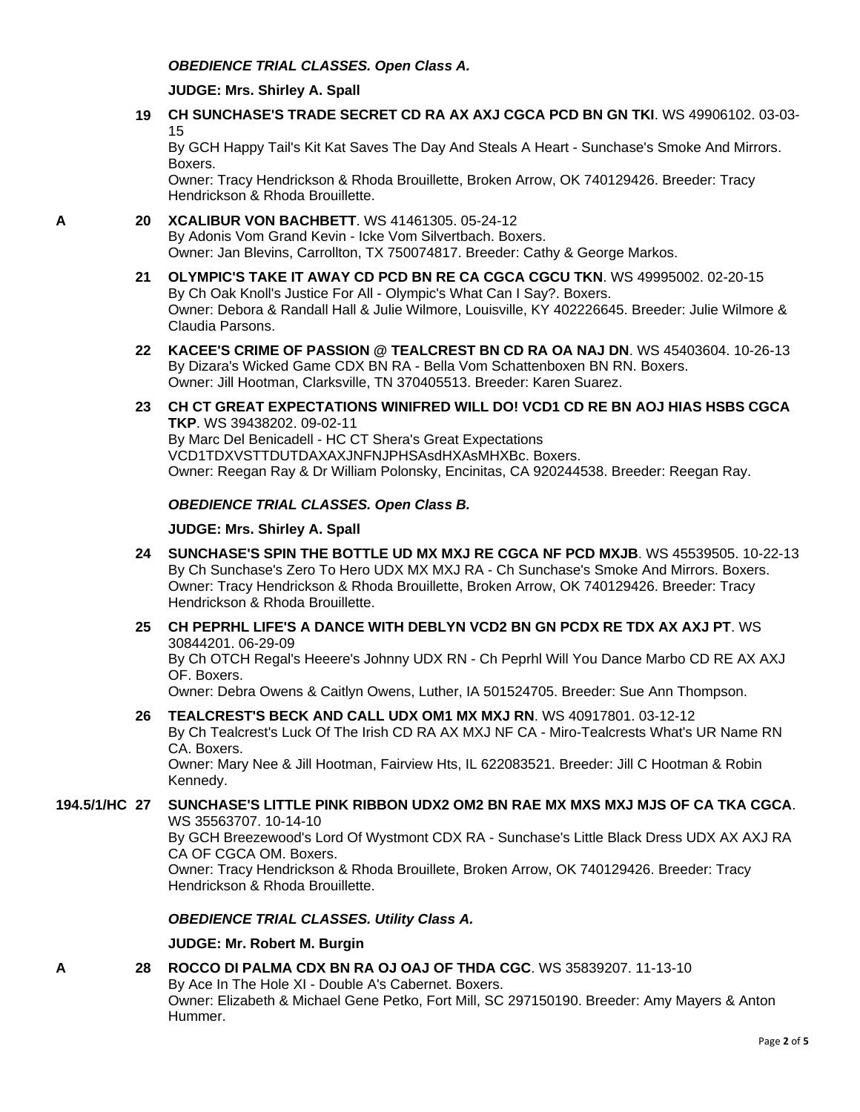## **JUDGE: [Mrs. Shirley A. Spall](http://www.infodog.com/show/judge/jdgprofile.htm?jn=39543)**

**19 [CH SUNCHASE'S TRADE SECRET CD RA AX AXJ CGCA PCD BN GN TKI](http://www.infodog.com/my/drlookup2.htm?makc=WS%2049906102&mdog=Ch+Sunchase%27s+Trade+Secret+CD+RA+AX+AXJ+CGCA+PCD+BN+GN+TKI&wins=all)**. WS 49906102. 03-03- 15

By GCH Happy Tail's Kit Kat Saves The Day And Steals A Heart - Sunchase's Smoke And Mirrors. Boxers.

Owner: Tracy Hendrickson & Rhoda Brouillette, Broken Arrow, OK 740129426. Breeder: Tracy Hendrickson & Rhoda Brouillette.

# **A 20 [XCALIBUR VON BACHBETT](http://www.infodog.com/my/drlookup2.htm?makc=WS%2041461305&mdog=Xcalibur+Von+Bachbett&wins=all)**. WS 41461305. 05-24-12 By Adonis Vom Grand Kevin - Icke Vom Silvertbach. Boxers. Owner: Jan Blevins, Carrollton, TX 750074817. Breeder: Cathy & George Markos.

- **21 [OLYMPIC'S TAKE IT AWAY CD PCD BN RE CA CGCA CGCU TKN](http://www.infodog.com/my/drlookup2.htm?makc=WS%2049995002&mdog=Olympic%27s+Take+It+Away+CD+PCD+BN+RE+CA+CGCA+CGCU+TKN&wins=all)**. WS 49995002. 02-20-15 By Ch Oak Knoll's Justice For All - Olympic's What Can I Say?. Boxers. Owner: Debora & Randall Hall & Julie Wilmore, Louisville, KY 402226645. Breeder: Julie Wilmore & Claudia Parsons.
- **22 [KACEE'S CRIME OF PASSION @ TEALCREST BN CD RA OA NAJ DN](http://www.infodog.com/my/drlookup2.htm?makc=WS%2045403604&mdog=KaCee%27s+Crime+Of+Passion+@+Tealcrest+BN+CD+RA+OA+NAJ+DN&wins=all)**. WS 45403604. 10-26-13 By Dizara's Wicked Game CDX BN RA - Bella Vom Schattenboxen BN RN. Boxers. Owner: Jill Hootman, Clarksville, TN 370405513. Breeder: Karen Suarez.
- **23 [CH CT GREAT EXPECTATIONS WINIFRED WILL DO! VCD1 CD RE BN AOJ HIAS HSBS CGCA](http://www.infodog.com/my/drlookup2.htm?makc=WS%2039438202&mdog=Ch+CT+Great+Expectations+Winifred+Will+Do!+VCD1+CD+RE+BN+AOJ+HIAs+HSBs+CGCA+TKP&wins=all)  [TKP](http://www.infodog.com/my/drlookup2.htm?makc=WS%2039438202&mdog=Ch+CT+Great+Expectations+Winifred+Will+Do!+VCD1+CD+RE+BN+AOJ+HIAs+HSBs+CGCA+TKP&wins=all)**. WS 39438202. 09-02-11 By Marc Del Benicadell - HC CT Shera's Great Expectations VCD1TDXVSTTDUTDAXAXJNFNJPHSAsdHXAsMHXBc. Boxers. Owner: Reegan Ray & Dr William Polonsky, Encinitas, CA 920244538. Breeder: Reegan Ray.

# *OBEDIENCE TRIAL CLASSES. Open Class B.*

# **JUDGE: [Mrs. Shirley A. Spall](http://www.infodog.com/show/judge/jdgprofile.htm?jn=39543)**

- **24 [SUNCHASE'S SPIN THE BOTTLE UD MX MXJ RE CGCA NF PCD MXJB](http://www.infodog.com/my/drlookup2.htm?makc=WS%2045539505&mdog=Sunchase%27s+Spin+The+Bottle+UD+MX+MXJ+RE+CGCA+NF+PCD+MXJB&wins=all)**. WS 45539505. 10-22-13 By Ch Sunchase's Zero To Hero UDX MX MXJ RA - Ch Sunchase's Smoke And Mirrors. Boxers. Owner: Tracy Hendrickson & Rhoda Brouillette, Broken Arrow, OK 740129426. Breeder: Tracy Hendrickson & Rhoda Brouillette.
- **25 [CH PEPRHL LIFE'S A DANCE WITH DEBLYN VCD2 BN GN PCDX RE TDX AX AXJ PT](http://www.infodog.com/my/drlookup2.htm?makc=WS%2030844201&mdog=Ch+Peprhl+Life%27s+A+Dance+With+DebLyn+VCD2+BN+GN+PCDX+RE+TDX+AX+AXJ+PT&wins=all)**. WS 30844201. 06-29-09

By Ch OTCH Regal's Heeere's Johnny UDX RN - Ch Peprhl Will You Dance Marbo CD RE AX AXJ OF. Boxers.

Owner: Debra Owens & Caitlyn Owens, Luther, IA 501524705. Breeder: Sue Ann Thompson.

**26 [TEALCREST'S BECK AND CALL UDX OM1 MX MXJ RN](http://www.infodog.com/my/drlookup2.htm?makc=WS%2040917801&mdog=Tealcrest%27s+Beck+And+Call+UDX+OM1+MX+MXJ+RN&wins=all)**. WS 40917801. 03-12-12 By Ch Tealcrest's Luck Of The Irish CD RA AX MXJ NF CA - Miro-Tealcrests What's UR Name RN CA. Boxers.

Owner: Mary Nee & Jill Hootman, Fairview Hts, IL 622083521. Breeder: Jill C Hootman & Robin Kennedy.

# **194.5/1/HC 27 [SUNCHASE'S LITTLE PINK RIBBON UDX2 OM2 BN RAE MX MXS MXJ MJS OF CA TKA CGCA](http://www.infodog.com/my/drlookup2.htm?makc=WS%2035563707&mdog=Sunchase%27s+Little+Pink+Ribbon+UDX2+OM2+BN+RAE+MX+MXS+MXJ+MJS+OF+CA+TKA+CGCA&wins=all)**. WS 35563707. 10-14-10

By GCH Breezewood's Lord Of Wystmont CDX RA - Sunchase's Little Black Dress UDX AX AXJ RA CA OF CGCA OM. Boxers.

Owner: Tracy Hendrickson & Rhoda Brouillete, Broken Arrow, OK 740129426. Breeder: Tracy Hendrickson & Rhoda Brouillette.

# *OBEDIENCE TRIAL CLASSES. Utility Class A.*

### **JUDGE: [Mr. Robert M. Burgin](http://www.infodog.com/show/judge/jdgprofile.htm?jn=18811)**

**A 28 [ROCCO DI PALMA CDX BN RA OJ OAJ OF THDA CGC](http://www.infodog.com/my/drlookup2.htm?makc=WS%2035839207&mdog=Rocco+Di+Palma+CDX+BN+RA+OJ+OAJ+OF+THDA+CGC&wins=all)**. WS 35839207. 11-13-10 By Ace In The Hole XI - Double A's Cabernet. Boxers. Owner: Elizabeth & Michael Gene Petko, Fort Mill, SC 297150190. Breeder: Amy Mayers & Anton Hummer.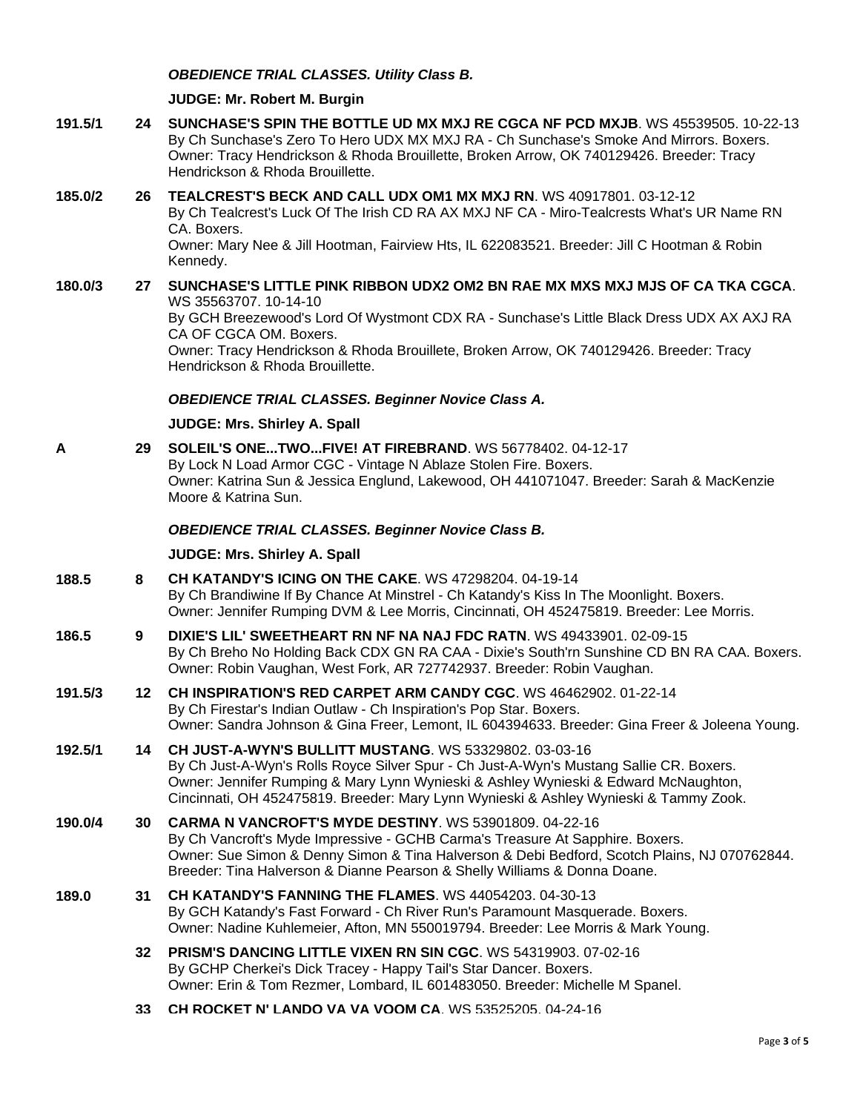# *OBEDIENCE TRIAL CLASSES. Utility Class B.*

#### **JUDGE: [Mr. Robert M. Burgin](http://www.infodog.com/show/judge/jdgprofile.htm?jn=18811)**

**191.5/1 24 [SUNCHASE'S SPIN THE BOTTLE UD MX MXJ RE CGCA NF PCD MXJB](http://www.infodog.com/my/drlookup2.htm?makc=WS%2045539505&mdog=Sunchase%27s+Spin+The+Bottle+UD+MX+MXJ+RE+CGCA+NF+PCD+MXJB&wins=all)**. WS 45539505. 10-22-13 By Ch Sunchase's Zero To Hero UDX MX MXJ RA - Ch Sunchase's Smoke And Mirrors. Boxers. Owner: Tracy Hendrickson & Rhoda Brouillette, Broken Arrow, OK 740129426. Breeder: Tracy Hendrickson & Rhoda Brouillette.

### **185.0/2 26 [TEALCREST'S BECK AND CALL UDX OM1 MX MXJ RN](http://www.infodog.com/my/drlookup2.htm?makc=WS%2040917801&mdog=Tealcrest%27s+Beck+And+Call+UDX+OM1+MX+MXJ+RN&wins=all)**. WS 40917801. 03-12-12 By Ch Tealcrest's Luck Of The Irish CD RA AX MXJ NF CA - Miro-Tealcrests What's UR Name RN CA. Boxers. Owner: Mary Nee & Jill Hootman, Fairview Hts, IL 622083521. Breeder: Jill C Hootman & Robin Kennedy.

# **180.0/3 27 [SUNCHASE'S LITTLE PINK RIBBON UDX2 OM2 BN RAE MX MXS MXJ MJS OF CA TKA CGCA](http://www.infodog.com/my/drlookup2.htm?makc=WS%2035563707&mdog=Sunchase%27s+Little+Pink+Ribbon+UDX2+OM2+BN+RAE+MX+MXS+MXJ+MJS+OF+CA+TKA+CGCA&wins=all)**. WS 35563707. 10-14-10

By GCH Breezewood's Lord Of Wystmont CDX RA - Sunchase's Little Black Dress UDX AX AXJ RA CA OF CGCA OM. Boxers.

Owner: Tracy Hendrickson & Rhoda Brouillete, Broken Arrow, OK 740129426. Breeder: Tracy Hendrickson & Rhoda Brouillette.

*OBEDIENCE TRIAL CLASSES. Beginner Novice Class A.*

## **JUDGE: [Mrs. Shirley A. Spall](http://www.infodog.com/show/judge/jdgprofile.htm?jn=39543)**

**A 29 [SOLEIL'S ONE...TWO...FIVE! AT FIREBRAND](http://www.infodog.com/my/drlookup2.htm?makc=WS%2056778402&mdog=Soleil%27s+One...Two...Five!+At+Firebrand&wins=all)**. WS 56778402. 04-12-17 By Lock N Load Armor CGC - Vintage N Ablaze Stolen Fire. Boxers. Owner: Katrina Sun & Jessica Englund, Lakewood, OH 441071047. Breeder: Sarah & MacKenzie Moore & Katrina Sun.

#### *OBEDIENCE TRIAL CLASSES. Beginner Novice Class B.*

#### **JUDGE: [Mrs. Shirley A. Spall](http://www.infodog.com/show/judge/jdgprofile.htm?jn=39543)**

- **188.5 8 [CH KATANDY'S ICING ON THE CAKE](http://www.infodog.com/my/drlookup2.htm?makc=WS%2047298204&mdog=Ch+Katandy%27s+Icing+On+The+Cake&wins=all)**. WS 47298204. 04-19-14 By Ch Brandiwine If By Chance At Minstrel - Ch Katandy's Kiss In The Moonlight. Boxers. Owner: Jennifer Rumping DVM & Lee Morris, Cincinnati, OH 452475819. Breeder: Lee Morris.
- **186.5 9 [DIXIE'S LIL' SWEETHEART RN NF NA NAJ FDC RATN](http://www.infodog.com/my/drlookup2.htm?makc=WS%2049433901&mdog=Dixie%27s+Lil%27+Sweetheart+RN+NF+NA+NAJ+FDC+RATN&wins=all)**. WS 49433901. 02-09-15 By Ch Breho No Holding Back CDX GN RA CAA - Dixie's South'rn Sunshine CD BN RA CAA. Boxers. Owner: Robin Vaughan, West Fork, AR 727742937. Breeder: Robin Vaughan.
- **191.5/3 12 [CH INSPIRATION'S RED CARPET ARM CANDY CGC](http://www.infodog.com/my/drlookup2.htm?makc=WS%2046462902&mdog=Ch+Inspiration%27s+Red+Carpet+Arm+Candy+CGC&wins=all)**. WS 46462902. 01-22-14 By Ch Firestar's Indian Outlaw - Ch Inspiration's Pop Star. Boxers. Owner: Sandra Johnson & Gina Freer, Lemont, IL 604394633. Breeder: Gina Freer & Joleena Young.
- **192.5/1 14 [CH JUST-A-WYN'S BULLITT MUSTANG](http://www.infodog.com/my/drlookup2.htm?makc=WS%2053329802&mdog=Ch+Just-A-Wyn%27s+Bullitt+Mustang&wins=all)**. WS 53329802. 03-03-16 By Ch Just-A-Wyn's Rolls Royce Silver Spur - Ch Just-A-Wyn's Mustang Sallie CR. Boxers. Owner: Jennifer Rumping & Mary Lynn Wynieski & Ashley Wynieski & Edward McNaughton, Cincinnati, OH 452475819. Breeder: Mary Lynn Wynieski & Ashley Wynieski & Tammy Zook.
- **190.0/4 30 [CARMA N VANCROFT'S MYDE DESTINY](http://www.infodog.com/my/drlookup2.htm?makc=WS%2053901809&mdog=Carma+N+Vancroft%27s+Myde+Destiny&wins=all)**. WS 53901809. 04-22-16 By Ch Vancroft's Myde Impressive - GCHB Carma's Treasure At Sapphire. Boxers. Owner: Sue Simon & Denny Simon & Tina Halverson & Debi Bedford, Scotch Plains, NJ 070762844. Breeder: Tina Halverson & Dianne Pearson & Shelly Williams & Donna Doane.
- **189.0 31 [CH KATANDY'S FANNING THE FLAMES](http://www.infodog.com/my/drlookup2.htm?makc=WS%2044054203&mdog=Ch+Katandy%27s+Fanning+The+Flames&wins=all)**. WS 44054203. 04-30-13 By GCH Katandy's Fast Forward - Ch River Run's Paramount Masquerade. Boxers. Owner: Nadine Kuhlemeier, Afton, MN 550019794. Breeder: Lee Morris & Mark Young.
	- **32 [PRISM'S DANCING LITTLE VIXEN RN SIN CGC](http://www.infodog.com/my/drlookup2.htm?makc=WS%2054319903&mdog=Prism%27s+Dancing+Little+Vixen+RN+SIN+CGC&wins=all)**. WS 54319903. 07-02-16 By GCHP Cherkei's Dick Tracey - Happy Tail's Star Dancer. Boxers. Owner: Erin & Tom Rezmer, Lombard, IL 601483050. Breeder: Michelle M Spanel.
	- **33 [CH ROCKET N' LANDO VA VA VOOM CA](http://www.infodog.com/my/drlookup2.htm?makc=WS%2053525205&mdog=Ch+Rocket+N%27+Lando+Va+Va+Voom+CA&wins=all)**. WS 53525205. 04-24-16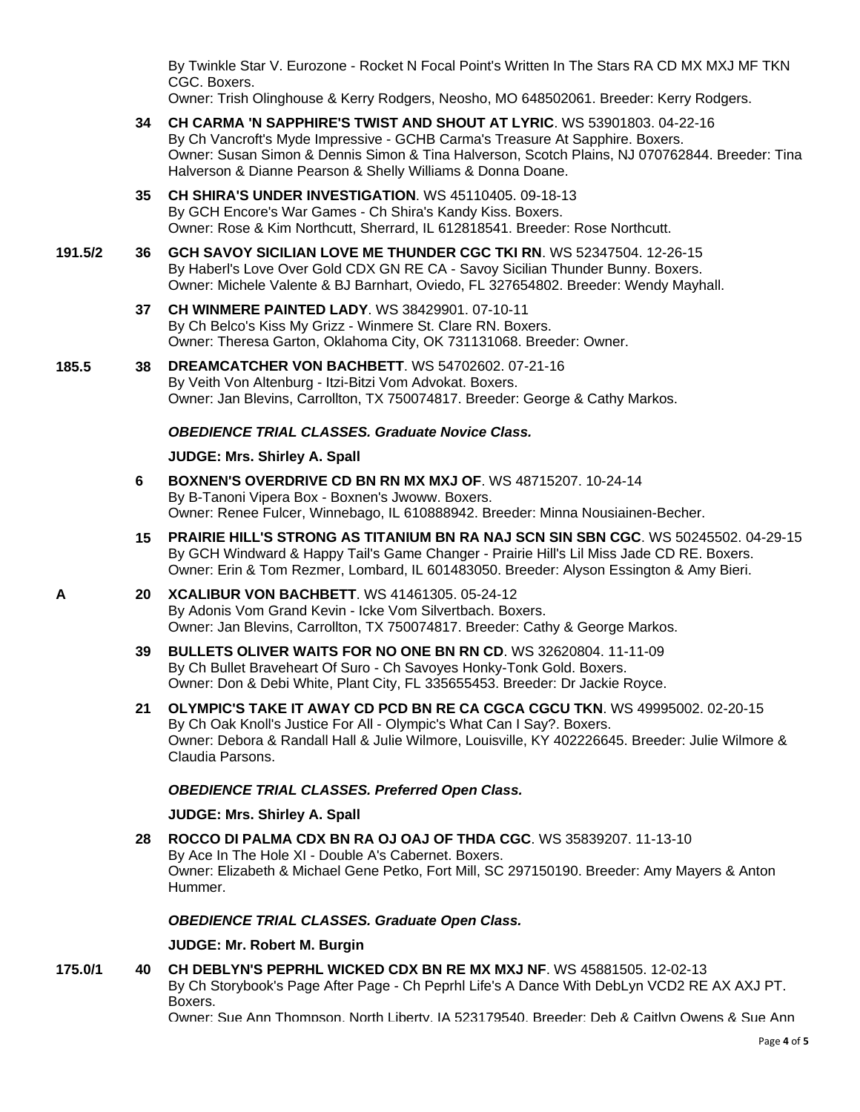By Twinkle Star V. Eurozone - Rocket N Focal Point's Written In The Stars RA CD MX MXJ MF TKN CGC. Boxers.

Owner: Trish Olinghouse & Kerry Rodgers, Neosho, MO 648502061. Breeder: Kerry Rodgers.

- **34 [CH CARMA 'N SAPPHIRE'S TWIST AND SHOUT AT LYRIC](http://www.infodog.com/my/drlookup2.htm?makc=WS%2053901803&mdog=Ch+Carma+%27N+Sapphire%27s+Twist+And+Shout+At+Lyric&wins=all)**. WS 53901803. 04-22-16 By Ch Vancroft's Myde Impressive - GCHB Carma's Treasure At Sapphire. Boxers. Owner: Susan Simon & Dennis Simon & Tina Halverson, Scotch Plains, NJ 070762844. Breeder: Tina Halverson & Dianne Pearson & Shelly Williams & Donna Doane.
- **35 [CH SHIRA'S UNDER INVESTIGATION](http://www.infodog.com/my/drlookup2.htm?makc=WS%2045110405&mdog=Ch+Shira%27s+Under+Investigation&wins=all)**. WS 45110405. 09-18-13 By GCH Encore's War Games - Ch Shira's Kandy Kiss. Boxers. Owner: Rose & Kim Northcutt, Sherrard, IL 612818541. Breeder: Rose Northcutt.
- **191.5/2 36 [GCH SAVOY SICILIAN LOVE ME THUNDER CGC TKI RN](http://www.infodog.com/my/drlookup2.htm?makc=WS%2052347504&mdog=GCH+Savoy+Sicilian+Love+Me+Thunder+CGC+TKI+RN&wins=all)**. WS 52347504. 12-26-15 By Haberl's Love Over Gold CDX GN RE CA - Savoy Sicilian Thunder Bunny. Boxers. Owner: Michele Valente & BJ Barnhart, Oviedo, FL 327654802. Breeder: Wendy Mayhall.
	- **37 [CH WINMERE PAINTED LADY](http://www.infodog.com/my/drlookup2.htm?makc=WS%2038429901&mdog=Ch+Winmere+Painted+Lady&wins=all)**. WS 38429901. 07-10-11 By Ch Belco's Kiss My Grizz - Winmere St. Clare RN. Boxers. Owner: Theresa Garton, Oklahoma City, OK 731131068. Breeder: Owner.
- **185.5 38 [DREAMCATCHER VON BACHBETT](http://www.infodog.com/my/drlookup2.htm?makc=WS%2054702602&mdog=Dreamcatcher+Von+Bachbett&wins=all)**. WS 54702602. 07-21-16 By Veith Von Altenburg - Itzi-Bitzi Vom Advokat. Boxers. Owner: Jan Blevins, Carrollton, TX 750074817. Breeder: George & Cathy Markos.

# *OBEDIENCE TRIAL CLASSES. Graduate Novice Class.*

#### **JUDGE: [Mrs. Shirley A. Spall](http://www.infodog.com/show/judge/jdgprofile.htm?jn=39543)**

- **6 [BOXNEN'S OVERDRIVE CD BN RN MX MXJ OF](http://www.infodog.com/my/drlookup2.htm?makc=WS%2048715207&mdog=Boxnen%27s+Overdrive+CD+BN+RN+MX+MXJ+OF&wins=all)**. WS 48715207. 10-24-14 By B-Tanoni Vipera Box - Boxnen's Jwoww. Boxers. Owner: Renee Fulcer, Winnebago, IL 610888942. Breeder: Minna Nousiainen-Becher.
- **15 [PRAIRIE HILL'S STRONG AS TITANIUM BN RA NAJ SCN SIN SBN CGC](http://www.infodog.com/my/drlookup2.htm?makc=WS%2050245502&mdog=Prairie+Hill%27s+Strong+As+Titanium+BN+RA+NAJ+SCN+SIN+SBN+CGC&wins=all)**. WS 50245502. 04-29-15 By GCH Windward & Happy Tail's Game Changer - Prairie Hill's Lil Miss Jade CD RE. Boxers. Owner: Erin & Tom Rezmer, Lombard, IL 601483050. Breeder: Alyson Essington & Amy Bieri.
- **A 20 [XCALIBUR VON BACHBETT](http://www.infodog.com/my/drlookup2.htm?makc=WS%2041461305&mdog=Xcalibur+Von+Bachbett&wins=all)**. WS 41461305. 05-24-12 By Adonis Vom Grand Kevin - Icke Vom Silvertbach. Boxers. Owner: Jan Blevins, Carrollton, TX 750074817. Breeder: Cathy & George Markos.
	- **39 [BULLETS OLIVER WAITS FOR NO ONE BN RN CD](http://www.infodog.com/my/drlookup2.htm?makc=WS%2032620804&mdog=Bullets+Oliver+Waits+For+No+One+BN+RN+CD&wins=all)**. WS 32620804. 11-11-09 By Ch Bullet Braveheart Of Suro - Ch Savoyes Honky-Tonk Gold. Boxers. Owner: Don & Debi White, Plant City, FL 335655453. Breeder: Dr Jackie Royce.
	- **21 [OLYMPIC'S TAKE IT AWAY CD PCD BN RE CA CGCA CGCU TKN](http://www.infodog.com/my/drlookup2.htm?makc=WS%2049995002&mdog=Olympic%27s+Take+It+Away+CD+PCD+BN+RE+CA+CGCA+CGCU+TKN&wins=all)**. WS 49995002. 02-20-15 By Ch Oak Knoll's Justice For All - Olympic's What Can I Say?. Boxers. Owner: Debora & Randall Hall & Julie Wilmore, Louisville, KY 402226645. Breeder: Julie Wilmore & Claudia Parsons.

### *OBEDIENCE TRIAL CLASSES. Preferred Open Class.*

### **JUDGE: [Mrs. Shirley A. Spall](http://www.infodog.com/show/judge/jdgprofile.htm?jn=39543)**

**28 [ROCCO DI PALMA CDX BN RA OJ OAJ OF THDA CGC](http://www.infodog.com/my/drlookup2.htm?makc=WS%2035839207&mdog=Rocco+Di+Palma+CDX+BN+RA+OJ+OAJ+OF+THDA+CGC&wins=all)**. WS 35839207. 11-13-10 By Ace In The Hole XI - Double A's Cabernet. Boxers. Owner: Elizabeth & Michael Gene Petko, Fort Mill, SC 297150190. Breeder: Amy Mayers & Anton Hummer.

# *OBEDIENCE TRIAL CLASSES. Graduate Open Class.*

#### **JUDGE: [Mr. Robert M. Burgin](http://www.infodog.com/show/judge/jdgprofile.htm?jn=18811)**

**175.0/1 40 [CH DEBLYN'S PEPRHL WICKED CDX BN RE MX MXJ NF](http://www.infodog.com/my/drlookup2.htm?makc=WS%2045881505&mdog=Ch+DebLyn%27s+Peprhl+Wicked+CDX+BN+RE+MX+MXJ+NF&wins=all)**. WS 45881505. 12-02-13 By Ch Storybook's Page After Page - Ch Peprhl Life's A Dance With DebLyn VCD2 RE AX AXJ PT. Boxers.

Owner: Sue Ann Thompson, North Liberty, IA 523179540. Breeder: Deb & Caitlyn Owens & Sue Ann